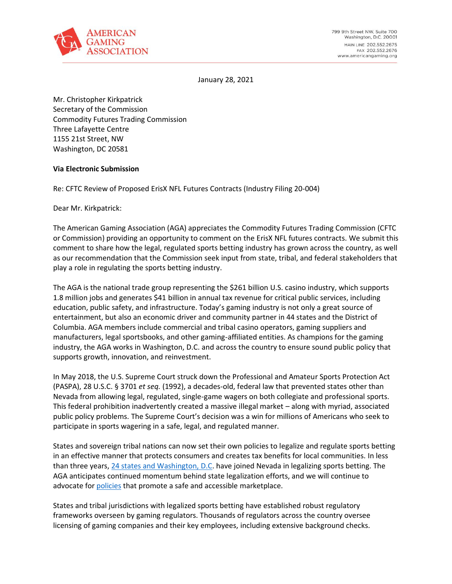

January 28, 2021

Mr. Christopher Kirkpatrick Secretary of the Commission Commodity Futures Trading Commission Three Lafayette Centre 1155 21st Street, NW Washington, DC 20581

## **Via Electronic Submission**

Re: CFTC Review of Proposed ErisX NFL Futures Contracts (Industry Filing 20-004)

Dear Mr. Kirkpatrick:

The American Gaming Association (AGA) appreciates the Commodity Futures Trading Commission (CFTC or Commission) providing an opportunity to comment on the ErisX NFL futures contracts. We submit this comment to share how the legal, regulated sports betting industry has grown across the country, as well as our recommendation that the Commission seek input from state, tribal, and federal stakeholders that play a role in regulating the sports betting industry.

The AGA is the national trade group representing the \$261 billion U.S. casino industry, which supports 1.8 million jobs and generates \$41 billion in annual tax revenue for critical public services, including education, public safety, and infrastructure. Today's gaming industry is not only a great source of entertainment, but also an economic driver and community partner in 44 states and the District of Columbia. AGA members include commercial and tribal casino operators, gaming suppliers and manufacturers, legal sportsbooks, and other gaming-affiliated entities. As champions for the gaming industry, the AGA works in Washington, D.C. and across the country to ensure sound public policy that supports growth, innovation, and reinvestment.

In May 2018, the U.S. Supreme Court struck down the Professional and Amateur Sports Protection Act (PASPA), 28 U.S.C. § 3701 *et seq.* (1992), a decades-old, federal law that prevented states other than Nevada from allowing legal, regulated, single-game wagers on both collegiate and professional sports. This federal prohibition inadvertently created a massive illegal market – along with myriad, associated public policy problems. The Supreme Court's decision was a win for millions of Americans who seek to participate in sports wagering in a safe, legal, and regulated manner.

States and sovereign tribal nations can now set their own policies to legalize and regulate sports betting in an effective manner that protects consumers and creates tax benefits for local communities. In less than three years, [24 states and Washington,](https://www.americangaming.org/research/state-gaming-map/) D.C. have joined Nevada in legalizing sports betting. The AGA anticipates continued momentum behind state legalization efforts, and we will continue to advocate for [policies](https://www.americangaming.org/wp-content/uploads/2020/07/AGA-Sports-Betting-Principles-Final.pdf) that promote a safe and accessible marketplace.

States and tribal jurisdictions with legalized sports betting have established robust regulatory frameworks overseen by gaming regulators. Thousands of regulators across the country oversee licensing of gaming companies and their key employees, including extensive background checks.